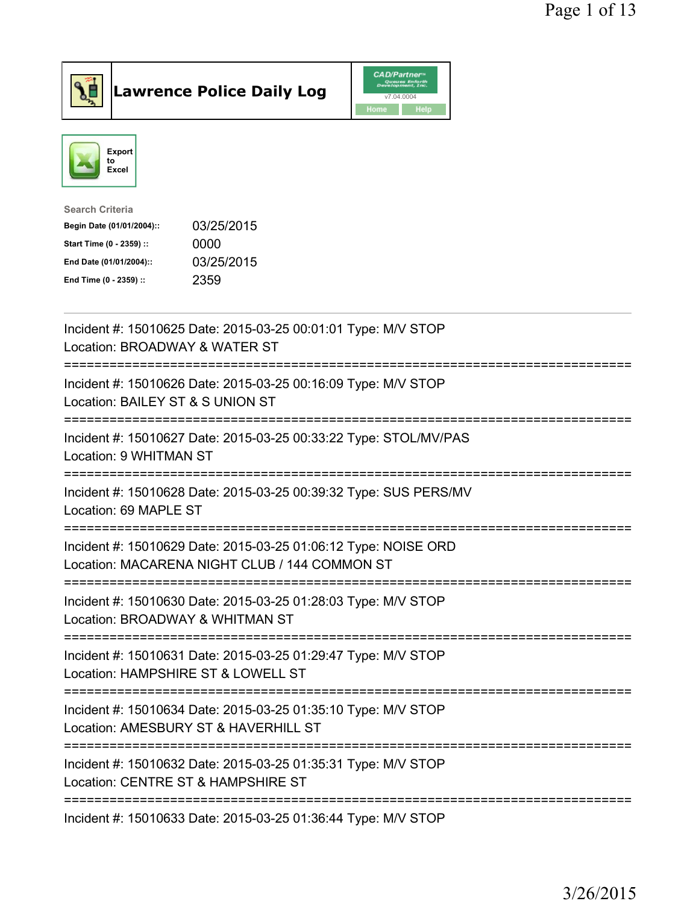



| <b>Search Criteria</b>    |            |
|---------------------------|------------|
| Begin Date (01/01/2004):: | 03/25/2015 |
| Start Time (0 - 2359) ::  | 0000       |
| End Date (01/01/2004)::   | 03/25/2015 |
| End Time (0 - 2359) ::    | 2359       |

| Incident #: 15010625 Date: 2015-03-25 00:01:01 Type: M/V STOP<br>Location: BROADWAY & WATER ST                                             |
|--------------------------------------------------------------------------------------------------------------------------------------------|
| Incident #: 15010626 Date: 2015-03-25 00:16:09 Type: M/V STOP<br>Location: BAILEY ST & S UNION ST                                          |
| Incident #: 15010627 Date: 2015-03-25 00:33:22 Type: STOL/MV/PAS<br>Location: 9 WHITMAN ST                                                 |
| Incident #: 15010628 Date: 2015-03-25 00:39:32 Type: SUS PERS/MV<br>Location: 69 MAPLE ST                                                  |
| Incident #: 15010629 Date: 2015-03-25 01:06:12 Type: NOISE ORD<br>Location: MACARENA NIGHT CLUB / 144 COMMON ST<br>======================= |
| Incident #: 15010630 Date: 2015-03-25 01:28:03 Type: M/V STOP<br>Location: BROADWAY & WHITMAN ST                                           |
| -------------------------<br>Incident #: 15010631 Date: 2015-03-25 01:29:47 Type: M/V STOP<br>Location: HAMPSHIRE ST & LOWELL ST           |
| ============================<br>Incident #: 15010634 Date: 2015-03-25 01:35:10 Type: M/V STOP<br>Location: AMESBURY ST & HAVERHILL ST      |
| ==============================<br>Incident #: 15010632 Date: 2015-03-25 01:35:31 Type: M/V STOP<br>Location: CENTRE ST & HAMPSHIRE ST      |
| Incident #: 15010633 Date: 2015-03-25 01:36:44 Type: M/V STOP                                                                              |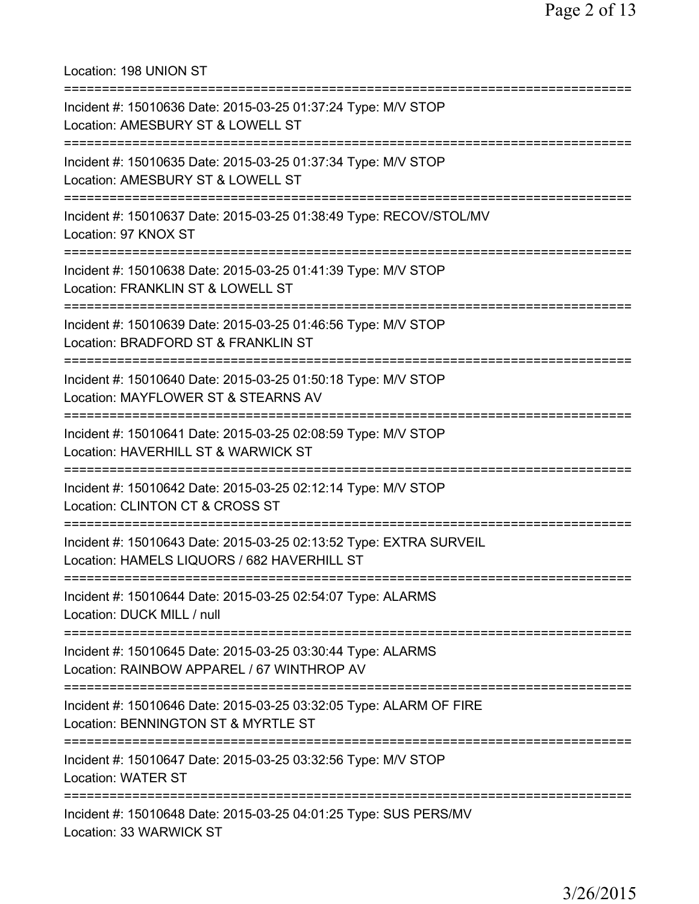Location: 198 UNION ST =========================================================================== Incident #: 15010636 Date: 2015-03-25 01:37:24 Type: M/V STOP Location: AMESBURY ST & LOWELL ST =========================================================================== Incident #: 15010635 Date: 2015-03-25 01:37:34 Type: M/V STOP Location: AMESBURY ST & LOWELL ST =========================================================================== Incident #: 15010637 Date: 2015-03-25 01:38:49 Type: RECOV/STOL/MV Location: 97 KNOX ST =========================================================================== Incident #: 15010638 Date: 2015-03-25 01:41:39 Type: M/V STOP Location: FRANKLIN ST & LOWELL ST =========================================================================== Incident #: 15010639 Date: 2015-03-25 01:46:56 Type: M/V STOP Location: BRADFORD ST & FRANKLIN ST =========================================================================== Incident #: 15010640 Date: 2015-03-25 01:50:18 Type: M/V STOP Location: MAYFLOWER ST & STEARNS AV =========================================================================== Incident #: 15010641 Date: 2015-03-25 02:08:59 Type: M/V STOP Location: HAVERHILL ST & WARWICK ST =========================================================================== Incident #: 15010642 Date: 2015-03-25 02:12:14 Type: M/V STOP Location: CLINTON CT & CROSS ST =========================================================================== Incident #: 15010643 Date: 2015-03-25 02:13:52 Type: EXTRA SURVEIL Location: HAMELS LIQUORS / 682 HAVERHILL ST =========================================================================== Incident #: 15010644 Date: 2015-03-25 02:54:07 Type: ALARMS Location: DUCK MILL / null =========================================================================== Incident #: 15010645 Date: 2015-03-25 03:30:44 Type: ALARMS Location: RAINBOW APPAREL / 67 WINTHROP AV =========================================================================== Incident #: 15010646 Date: 2015-03-25 03:32:05 Type: ALARM OF FIRE Location: BENNINGTON ST & MYRTLE ST =========================================================================== Incident #: 15010647 Date: 2015-03-25 03:32:56 Type: M/V STOP Location: WATER ST =========================================================================== Incident #: 15010648 Date: 2015-03-25 04:01:25 Type: SUS PERS/MV Location: 33 WARWICK ST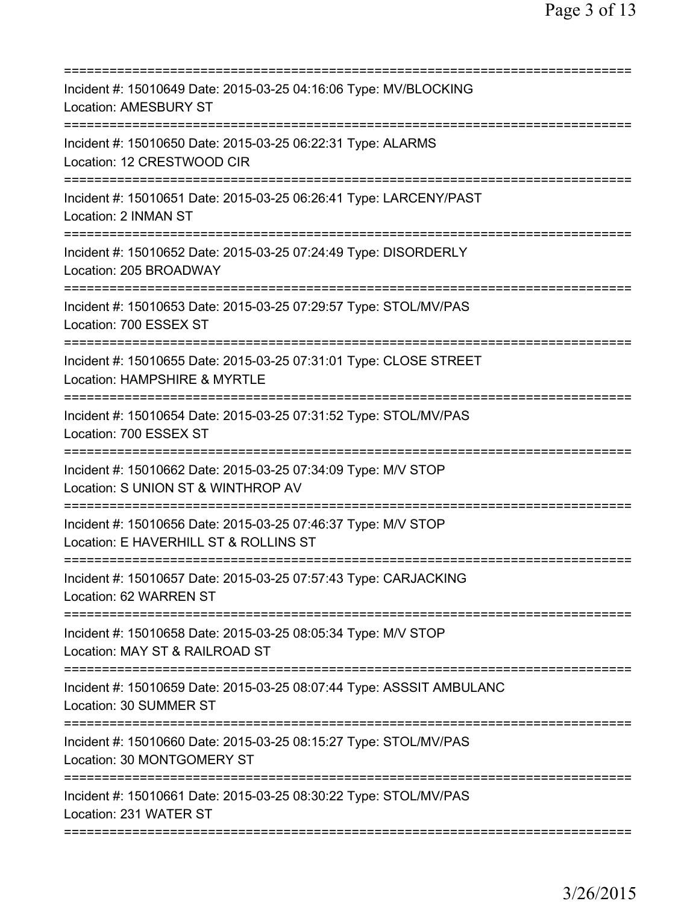| Incident #: 15010649 Date: 2015-03-25 04:16:06 Type: MV/BLOCKING<br><b>Location: AMESBURY ST</b>                                                        |
|---------------------------------------------------------------------------------------------------------------------------------------------------------|
| Incident #: 15010650 Date: 2015-03-25 06:22:31 Type: ALARMS<br>Location: 12 CRESTWOOD CIR                                                               |
| Incident #: 15010651 Date: 2015-03-25 06:26:41 Type: LARCENY/PAST<br>Location: 2 INMAN ST                                                               |
| Incident #: 15010652 Date: 2015-03-25 07:24:49 Type: DISORDERLY<br>Location: 205 BROADWAY                                                               |
| Incident #: 15010653 Date: 2015-03-25 07:29:57 Type: STOL/MV/PAS<br>Location: 700 ESSEX ST                                                              |
| ======================================<br>Incident #: 15010655 Date: 2015-03-25 07:31:01 Type: CLOSE STREET<br>Location: HAMPSHIRE & MYRTLE             |
| =========================<br>Incident #: 15010654 Date: 2015-03-25 07:31:52 Type: STOL/MV/PAS<br>Location: 700 ESSEX ST<br>============================ |
| Incident #: 15010662 Date: 2015-03-25 07:34:09 Type: M/V STOP<br>Location: S UNION ST & WINTHROP AV                                                     |
| Incident #: 15010656 Date: 2015-03-25 07:46:37 Type: M/V STOP<br>Location: E HAVERHILL ST & ROLLINS ST                                                  |
| Incident #: 15010657 Date: 2015-03-25 07:57:43 Type: CARJACKING<br>Location: 62 WARREN ST                                                               |
| Incident #: 15010658 Date: 2015-03-25 08:05:34 Type: M/V STOP<br>Location: MAY ST & RAILROAD ST                                                         |
| ===========================<br>Incident #: 15010659 Date: 2015-03-25 08:07:44 Type: ASSSIT AMBULANC<br>Location: 30 SUMMER ST                           |
| Incident #: 15010660 Date: 2015-03-25 08:15:27 Type: STOL/MV/PAS<br>Location: 30 MONTGOMERY ST                                                          |
| Incident #: 15010661 Date: 2015-03-25 08:30:22 Type: STOL/MV/PAS<br>Location: 231 WATER ST                                                              |
|                                                                                                                                                         |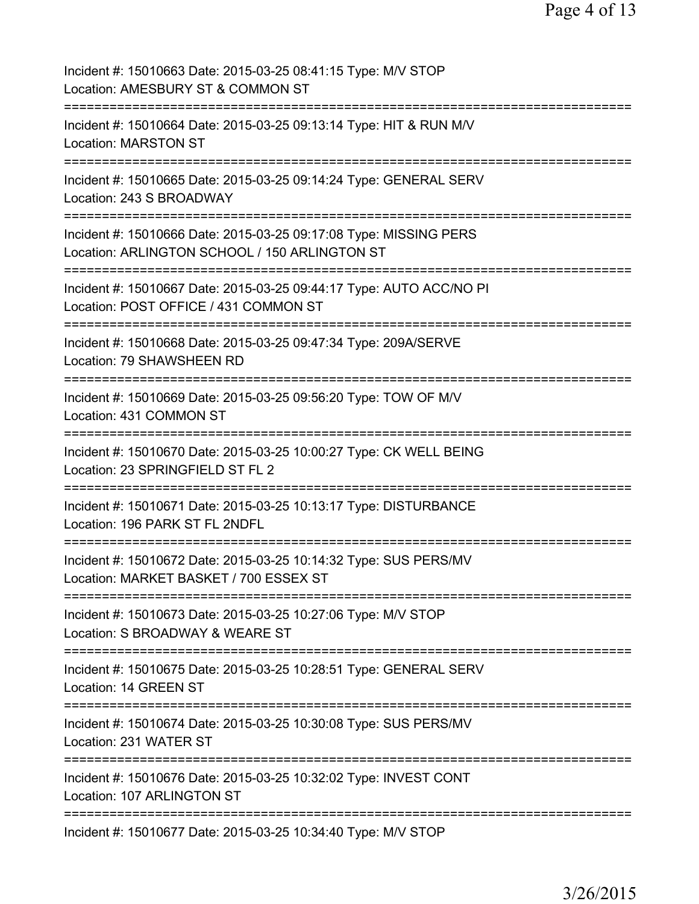| Incident #: 15010663 Date: 2015-03-25 08:41:15 Type: M/V STOP<br>Location: AMESBURY ST & COMMON ST                         |
|----------------------------------------------------------------------------------------------------------------------------|
| Incident #: 15010664 Date: 2015-03-25 09:13:14 Type: HIT & RUN M/V<br><b>Location: MARSTON ST</b>                          |
| Incident #: 15010665 Date: 2015-03-25 09:14:24 Type: GENERAL SERV<br>Location: 243 S BROADWAY                              |
| Incident #: 15010666 Date: 2015-03-25 09:17:08 Type: MISSING PERS<br>Location: ARLINGTON SCHOOL / 150 ARLINGTON ST         |
| Incident #: 15010667 Date: 2015-03-25 09:44:17 Type: AUTO ACC/NO PI<br>Location: POST OFFICE / 431 COMMON ST               |
| Incident #: 15010668 Date: 2015-03-25 09:47:34 Type: 209A/SERVE<br>Location: 79 SHAWSHEEN RD                               |
| Incident #: 15010669 Date: 2015-03-25 09:56:20 Type: TOW OF M/V<br>Location: 431 COMMON ST                                 |
| Incident #: 15010670 Date: 2015-03-25 10:00:27 Type: CK WELL BEING<br>Location: 23 SPRINGFIELD ST FL 2                     |
| Incident #: 15010671 Date: 2015-03-25 10:13:17 Type: DISTURBANCE<br>Location: 196 PARK ST FL 2NDFL                         |
| :===========<br>Incident #: 15010672 Date: 2015-03-25 10:14:32 Type: SUS PERS/MV<br>Location: MARKET BASKET / 700 ESSEX ST |
| Incident #: 15010673 Date: 2015-03-25 10:27:06 Type: M/V STOP<br>Location: S BROADWAY & WEARE ST                           |
| Incident #: 15010675 Date: 2015-03-25 10:28:51 Type: GENERAL SERV<br>Location: 14 GREEN ST                                 |
| Incident #: 15010674 Date: 2015-03-25 10:30:08 Type: SUS PERS/MV<br>Location: 231 WATER ST                                 |
| Incident #: 15010676 Date: 2015-03-25 10:32:02 Type: INVEST CONT<br>Location: 107 ARLINGTON ST                             |
| Incident #: 15010677 Date: 2015-03-25 10:34:40 Type: M/V STOP                                                              |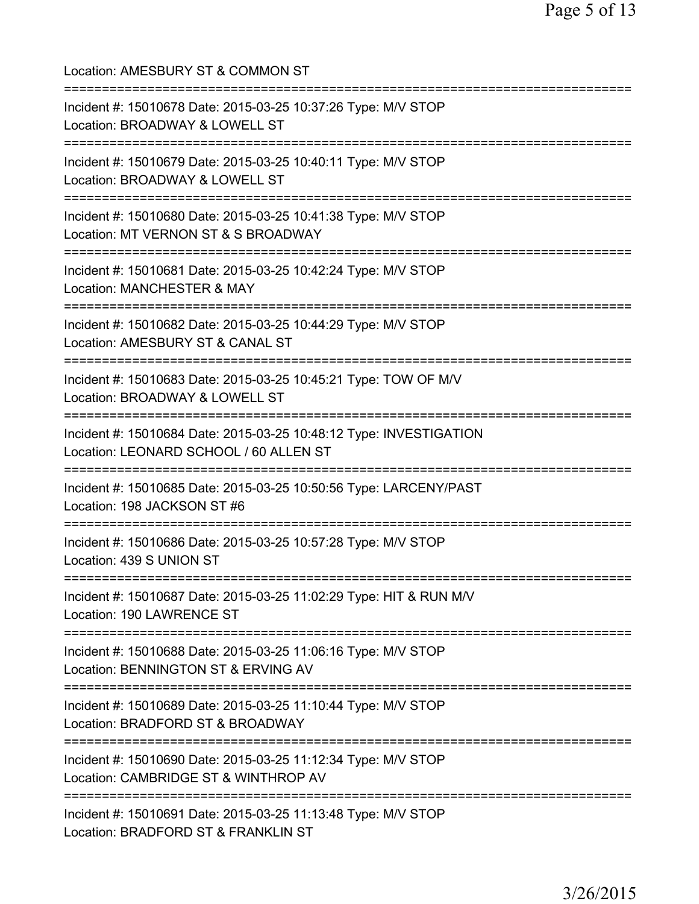| Location: AMESBURY ST & COMMON ST<br>-----------------------------                                                                    |
|---------------------------------------------------------------------------------------------------------------------------------------|
| Incident #: 15010678 Date: 2015-03-25 10:37:26 Type: M/V STOP<br>Location: BROADWAY & LOWELL ST                                       |
| Incident #: 15010679 Date: 2015-03-25 10:40:11 Type: M/V STOP<br>Location: BROADWAY & LOWELL ST                                       |
| Incident #: 15010680 Date: 2015-03-25 10:41:38 Type: M/V STOP<br>Location: MT VERNON ST & S BROADWAY                                  |
| ------------------------------<br>Incident #: 15010681 Date: 2015-03-25 10:42:24 Type: M/V STOP<br>Location: MANCHESTER & MAY         |
| -----------------------<br>Incident #: 15010682 Date: 2015-03-25 10:44:29 Type: M/V STOP<br>Location: AMESBURY ST & CANAL ST          |
| Incident #: 15010683 Date: 2015-03-25 10:45:21 Type: TOW OF M/V<br>Location: BROADWAY & LOWELL ST                                     |
| Incident #: 15010684 Date: 2015-03-25 10:48:12 Type: INVESTIGATION<br>Location: LEONARD SCHOOL / 60 ALLEN ST                          |
| =================================<br>Incident #: 15010685 Date: 2015-03-25 10:50:56 Type: LARCENY/PAST<br>Location: 198 JACKSON ST #6 |
| Incident #: 15010686 Date: 2015-03-25 10:57:28 Type: M/V STOP<br>Location: 439 S UNION ST                                             |
| Incident #: 15010687 Date: 2015-03-25 11:02:29 Type: HIT & RUN M/V<br>Location: 190 LAWRENCE ST                                       |
| Incident #: 15010688 Date: 2015-03-25 11:06:16 Type: M/V STOP<br>Location: BENNINGTON ST & ERVING AV                                  |
| Incident #: 15010689 Date: 2015-03-25 11:10:44 Type: M/V STOP<br>Location: BRADFORD ST & BROADWAY                                     |
| Incident #: 15010690 Date: 2015-03-25 11:12:34 Type: M/V STOP<br>Location: CAMBRIDGE ST & WINTHROP AV                                 |
| Incident #: 15010691 Date: 2015-03-25 11:13:48 Type: M/V STOP<br>Location: BRADFORD ST & FRANKLIN ST                                  |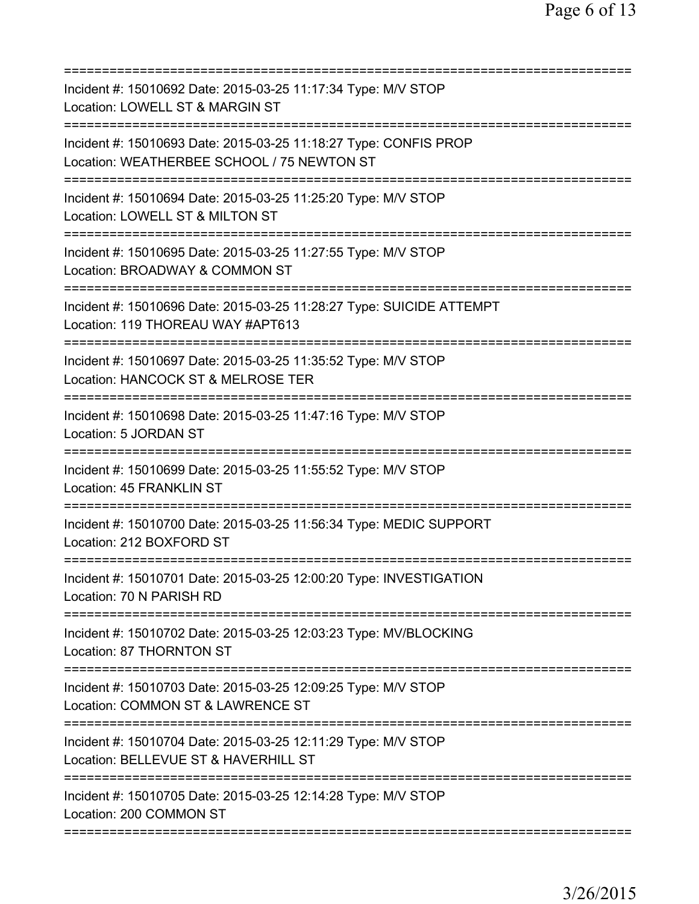| Incident #: 15010692 Date: 2015-03-25 11:17:34 Type: M/V STOP<br>Location: LOWELL ST & MARGIN ST                                         |
|------------------------------------------------------------------------------------------------------------------------------------------|
| Incident #: 15010693 Date: 2015-03-25 11:18:27 Type: CONFIS PROP<br>Location: WEATHERBEE SCHOOL / 75 NEWTON ST                           |
| Incident #: 15010694 Date: 2015-03-25 11:25:20 Type: M/V STOP<br>Location: LOWELL ST & MILTON ST                                         |
| Incident #: 15010695 Date: 2015-03-25 11:27:55 Type: M/V STOP<br>Location: BROADWAY & COMMON ST                                          |
| .==========================<br>Incident #: 15010696 Date: 2015-03-25 11:28:27 Type: SUICIDE ATTEMPT<br>Location: 119 THOREAU WAY #APT613 |
| Incident #: 15010697 Date: 2015-03-25 11:35:52 Type: M/V STOP<br>Location: HANCOCK ST & MELROSE TER                                      |
| Incident #: 15010698 Date: 2015-03-25 11:47:16 Type: M/V STOP<br>Location: 5 JORDAN ST                                                   |
| Incident #: 15010699 Date: 2015-03-25 11:55:52 Type: M/V STOP<br>Location: 45 FRANKLIN ST                                                |
| Incident #: 15010700 Date: 2015-03-25 11:56:34 Type: MEDIC SUPPORT<br>Location: 212 BOXFORD ST                                           |
| Incident #: 15010701 Date: 2015-03-25 12:00:20 Type: INVESTIGATION<br>Location: 70 N PARISH RD                                           |
| Incident #: 15010702 Date: 2015-03-25 12:03:23 Type: MV/BLOCKING<br>Location: 87 THORNTON ST                                             |
| Incident #: 15010703 Date: 2015-03-25 12:09:25 Type: M/V STOP<br>Location: COMMON ST & LAWRENCE ST                                       |
| Incident #: 15010704 Date: 2015-03-25 12:11:29 Type: M/V STOP<br>Location: BELLEVUE ST & HAVERHILL ST                                    |
| Incident #: 15010705 Date: 2015-03-25 12:14:28 Type: M/V STOP<br>Location: 200 COMMON ST                                                 |
|                                                                                                                                          |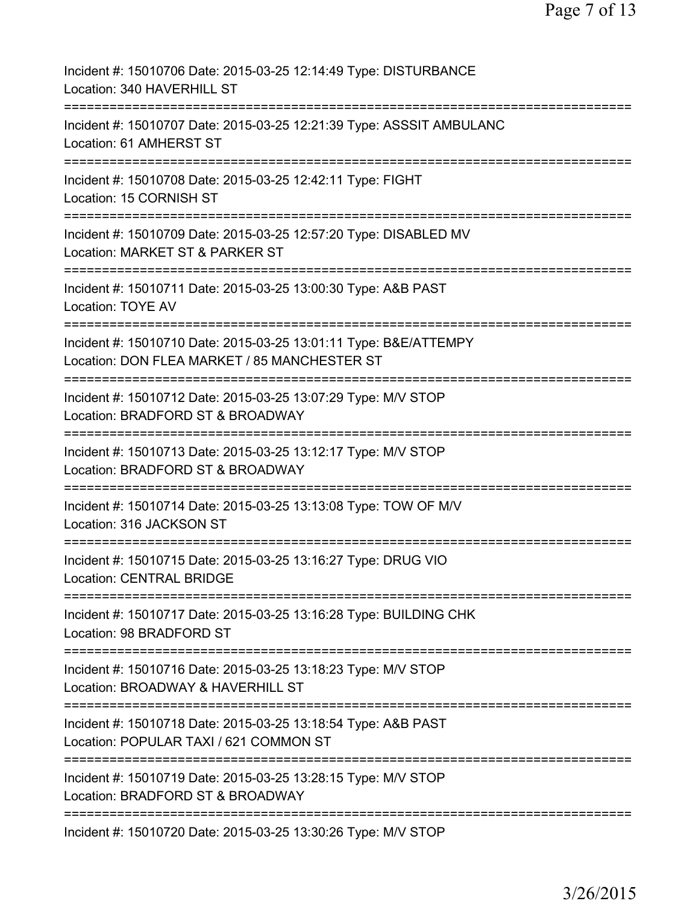| Incident #: 15010706 Date: 2015-03-25 12:14:49 Type: DISTURBANCE<br>Location: 340 HAVERHILL ST                                                                         |
|------------------------------------------------------------------------------------------------------------------------------------------------------------------------|
| Incident #: 15010707 Date: 2015-03-25 12:21:39 Type: ASSSIT AMBULANC<br>Location: 61 AMHERST ST                                                                        |
| Incident #: 15010708 Date: 2015-03-25 12:42:11 Type: FIGHT<br>Location: 15 CORNISH ST                                                                                  |
| Incident #: 15010709 Date: 2015-03-25 12:57:20 Type: DISABLED MV<br>Location: MARKET ST & PARKER ST                                                                    |
| Incident #: 15010711 Date: 2015-03-25 13:00:30 Type: A&B PAST<br>Location: TOYE AV                                                                                     |
| Incident #: 15010710 Date: 2015-03-25 13:01:11 Type: B&E/ATTEMPY<br>Location: DON FLEA MARKET / 85 MANCHESTER ST                                                       |
| Incident #: 15010712 Date: 2015-03-25 13:07:29 Type: M/V STOP<br>Location: BRADFORD ST & BROADWAY                                                                      |
| Incident #: 15010713 Date: 2015-03-25 13:12:17 Type: M/V STOP<br>Location: BRADFORD ST & BROADWAY                                                                      |
| Incident #: 15010714 Date: 2015-03-25 13:13:08 Type: TOW OF M/V<br>Location: 316 JACKSON ST                                                                            |
| Incident #: 15010715 Date: 2015-03-25 13:16:27 Type: DRUG VIO<br><b>Location: CENTRAL BRIDGE</b>                                                                       |
| Incident #: 15010717 Date: 2015-03-25 13:16:28 Type: BUILDING CHK<br>Location: 98 BRADFORD ST                                                                          |
| Incident #: 15010716 Date: 2015-03-25 13:18:23 Type: M/V STOP<br>Location: BROADWAY & HAVERHILL ST                                                                     |
| ===============================<br>Incident #: 15010718 Date: 2015-03-25 13:18:54 Type: A&B PAST<br>Location: POPULAR TAXI / 621 COMMON ST                             |
| =================================<br>============================<br>Incident #: 15010719 Date: 2015-03-25 13:28:15 Type: M/V STOP<br>Location: BRADFORD ST & BROADWAY |
| Incident #: 15010720 Date: 2015-03-25 13:30:26 Type: M/V STOP                                                                                                          |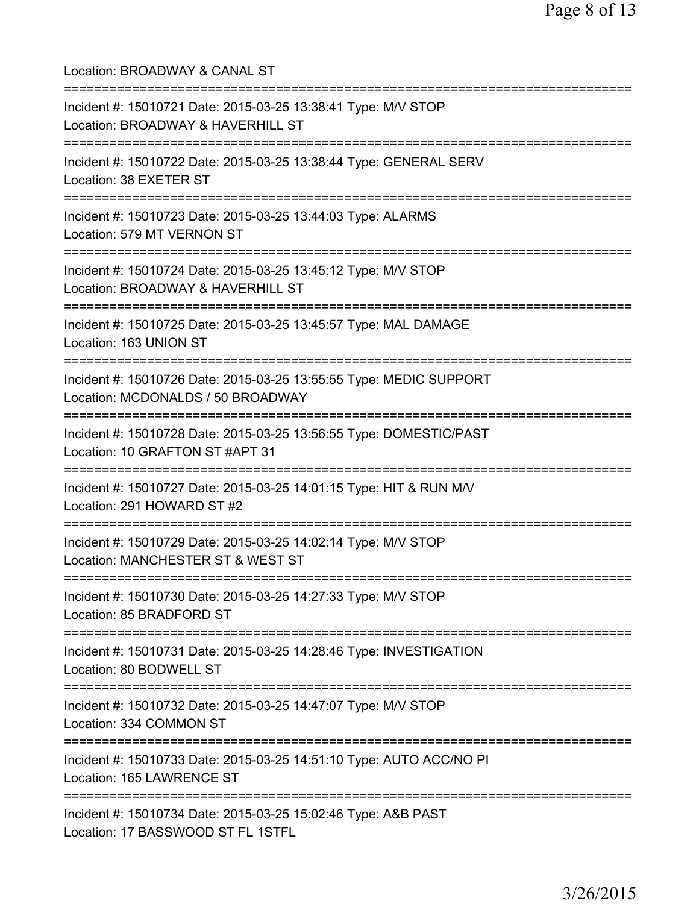Location: BROADWAY & CANAL ST =========================================================================== Incident #: 15010721 Date: 2015-03-25 13:38:41 Type: M/V STOP Location: BROADWAY & HAVERHILL ST =========================================================================== Incident #: 15010722 Date: 2015-03-25 13:38:44 Type: GENERAL SERV Location: 38 EXETER ST =========================================================================== Incident #: 15010723 Date: 2015-03-25 13:44:03 Type: ALARMS Location: 579 MT VERNON ST =========================================================================== Incident #: 15010724 Date: 2015-03-25 13:45:12 Type: M/V STOP Location: BROADWAY & HAVERHILL ST =========================================================================== Incident #: 15010725 Date: 2015-03-25 13:45:57 Type: MAL DAMAGE Location: 163 UNION ST =========================================================================== Incident #: 15010726 Date: 2015-03-25 13:55:55 Type: MEDIC SUPPORT Location: MCDONALDS / 50 BROADWAY =========================================================================== Incident #: 15010728 Date: 2015-03-25 13:56:55 Type: DOMESTIC/PAST Location: 10 GRAFTON ST #APT 31 =========================================================================== Incident #: 15010727 Date: 2015-03-25 14:01:15 Type: HIT & RUN M/V Location: 291 HOWARD ST #2 =========================================================================== Incident #: 15010729 Date: 2015-03-25 14:02:14 Type: M/V STOP Location: MANCHESTER ST & WEST ST =========================================================================== Incident #: 15010730 Date: 2015-03-25 14:27:33 Type: M/V STOP Location: 85 BRADFORD ST =========================================================================== Incident #: 15010731 Date: 2015-03-25 14:28:46 Type: INVESTIGATION Location: 80 BODWELL ST =========================================================================== Incident #: 15010732 Date: 2015-03-25 14:47:07 Type: M/V STOP Location: 334 COMMON ST =========================================================================== Incident #: 15010733 Date: 2015-03-25 14:51:10 Type: AUTO ACC/NO PI Location: 165 LAWRENCE ST =========================================================================== Incident #: 15010734 Date: 2015-03-25 15:02:46 Type: A&B PAST Location: 17 BASSWOOD ST FL 1STFL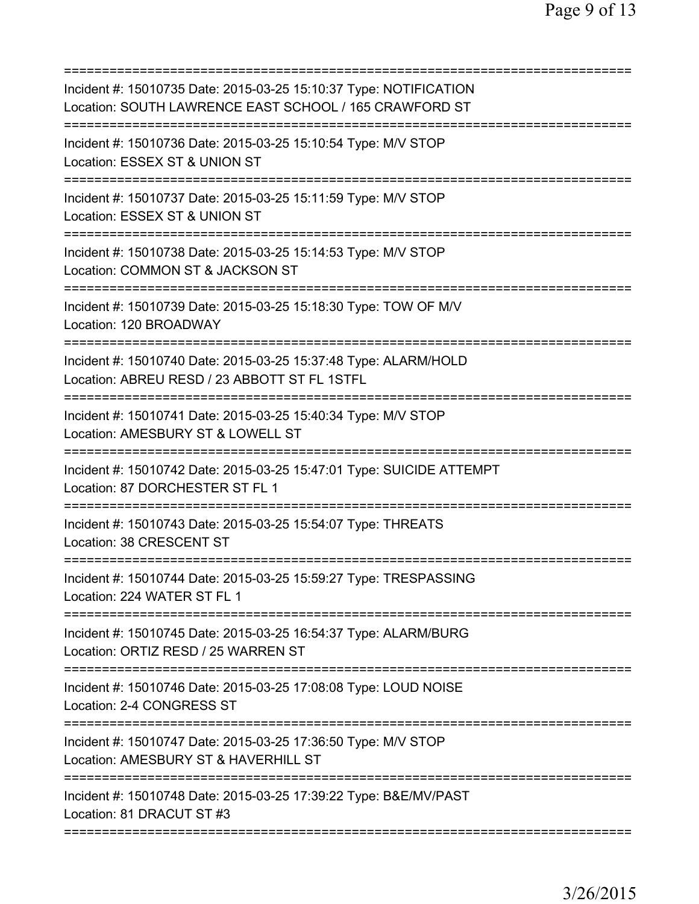| Incident #: 15010735 Date: 2015-03-25 15:10:37 Type: NOTIFICATION<br>Location: SOUTH LAWRENCE EAST SCHOOL / 165 CRAWFORD ST |
|-----------------------------------------------------------------------------------------------------------------------------|
| Incident #: 15010736 Date: 2015-03-25 15:10:54 Type: M/V STOP<br>Location: ESSEX ST & UNION ST                              |
| Incident #: 15010737 Date: 2015-03-25 15:11:59 Type: M/V STOP<br>Location: ESSEX ST & UNION ST                              |
| Incident #: 15010738 Date: 2015-03-25 15:14:53 Type: M/V STOP<br>Location: COMMON ST & JACKSON ST                           |
| Incident #: 15010739 Date: 2015-03-25 15:18:30 Type: TOW OF M/V<br>Location: 120 BROADWAY                                   |
| Incident #: 15010740 Date: 2015-03-25 15:37:48 Type: ALARM/HOLD<br>Location: ABREU RESD / 23 ABBOTT ST FL 1STFL             |
| Incident #: 15010741 Date: 2015-03-25 15:40:34 Type: M/V STOP<br>Location: AMESBURY ST & LOWELL ST                          |
| Incident #: 15010742 Date: 2015-03-25 15:47:01 Type: SUICIDE ATTEMPT<br>Location: 87 DORCHESTER ST FL 1                     |
| Incident #: 15010743 Date: 2015-03-25 15:54:07 Type: THREATS<br>Location: 38 CRESCENT ST                                    |
| Incident #: 15010744 Date: 2015-03-25 15:59:27 Type: TRESPASSING<br>Location: 224 WATER ST FL 1                             |
| Incident #: 15010745 Date: 2015-03-25 16:54:37 Type: ALARM/BURG<br>Location: ORTIZ RESD / 25 WARREN ST                      |
| Incident #: 15010746 Date: 2015-03-25 17:08:08 Type: LOUD NOISE<br>Location: 2-4 CONGRESS ST                                |
| Incident #: 15010747 Date: 2015-03-25 17:36:50 Type: M/V STOP<br>Location: AMESBURY ST & HAVERHILL ST                       |
| Incident #: 15010748 Date: 2015-03-25 17:39:22 Type: B&E/MV/PAST<br>Location: 81 DRACUT ST #3                               |
|                                                                                                                             |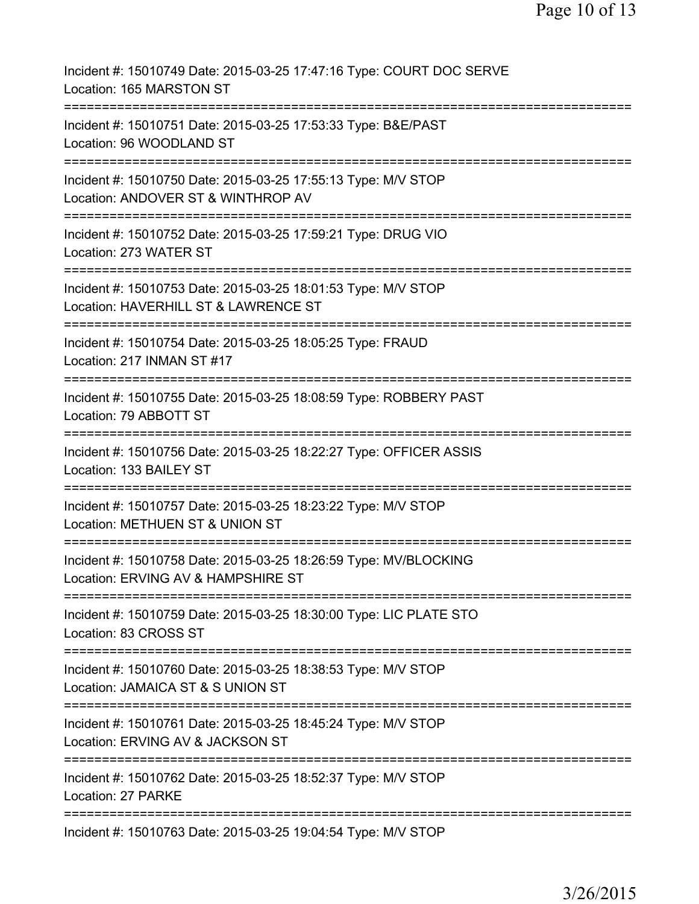| Incident #: 15010749 Date: 2015-03-25 17:47:16 Type: COURT DOC SERVE<br>Location: 165 MARSTON ST                                             |
|----------------------------------------------------------------------------------------------------------------------------------------------|
| Incident #: 15010751 Date: 2015-03-25 17:53:33 Type: B&E/PAST<br>Location: 96 WOODLAND ST                                                    |
| Incident #: 15010750 Date: 2015-03-25 17:55:13 Type: M/V STOP<br>Location: ANDOVER ST & WINTHROP AV                                          |
| Incident #: 15010752 Date: 2015-03-25 17:59:21 Type: DRUG VIO<br>Location: 273 WATER ST                                                      |
| ===================================<br>Incident #: 15010753 Date: 2015-03-25 18:01:53 Type: M/V STOP<br>Location: HAVERHILL ST & LAWRENCE ST |
| ====================<br>Incident #: 15010754 Date: 2015-03-25 18:05:25 Type: FRAUD<br>Location: 217 INMAN ST #17                             |
| Incident #: 15010755 Date: 2015-03-25 18:08:59 Type: ROBBERY PAST<br>Location: 79 ABBOTT ST                                                  |
| Incident #: 15010756 Date: 2015-03-25 18:22:27 Type: OFFICER ASSIS<br>Location: 133 BAILEY ST                                                |
| Incident #: 15010757 Date: 2015-03-25 18:23:22 Type: M/V STOP<br>Location: METHUEN ST & UNION ST                                             |
| Incident #: 15010758 Date: 2015-03-25 18:26:59 Type: MV/BLOCKING<br>Location: ERVING AV & HAMPSHIRE ST                                       |
| ===============================<br>Incident #: 15010759 Date: 2015-03-25 18:30:00 Type: LIC PLATE STO<br>Location: 83 CROSS ST               |
| Incident #: 15010760 Date: 2015-03-25 18:38:53 Type: M/V STOP<br>Location: JAMAICA ST & S UNION ST                                           |
| Incident #: 15010761 Date: 2015-03-25 18:45:24 Type: M/V STOP<br>Location: ERVING AV & JACKSON ST                                            |
| ===========================<br>Incident #: 15010762 Date: 2015-03-25 18:52:37 Type: M/V STOP<br>Location: 27 PARKE                           |
| Incident #: 15010763 Date: 2015-03-25 19:04:54 Type: M/V STOP                                                                                |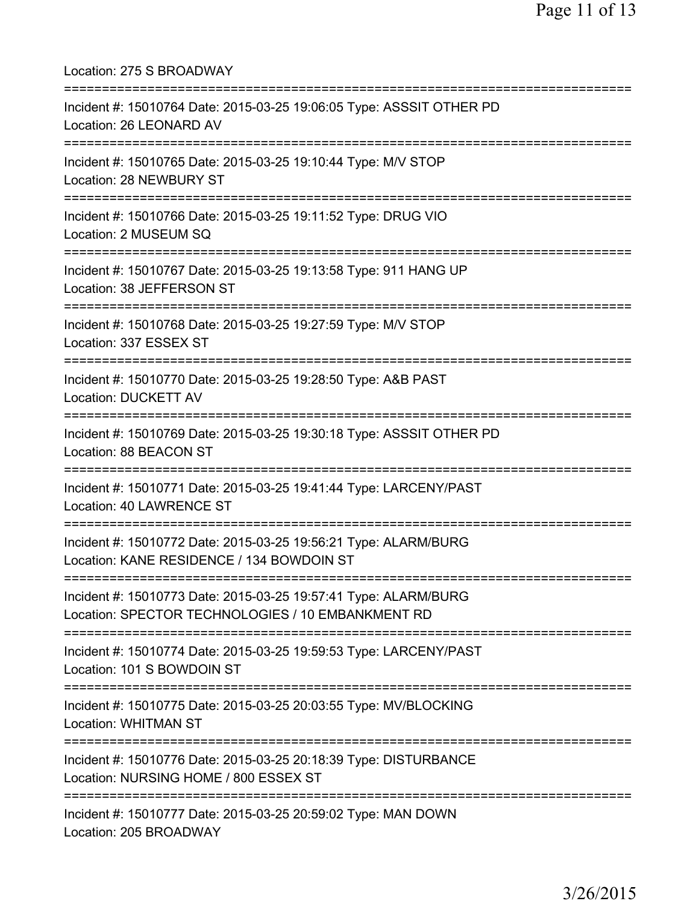Location: 275 S BROADWAY =========================================================================== Incident #: 15010764 Date: 2015-03-25 19:06:05 Type: ASSSIT OTHER PD Location: 26 LEONARD AV =========================================================================== Incident #: 15010765 Date: 2015-03-25 19:10:44 Type: M/V STOP Location: 28 NEWBURY ST =========================================================================== Incident #: 15010766 Date: 2015-03-25 19:11:52 Type: DRUG VIO Location: 2 MUSEUM SQ =========================================================================== Incident #: 15010767 Date: 2015-03-25 19:13:58 Type: 911 HANG UP Location: 38 JEFFERSON ST =========================================================================== Incident #: 15010768 Date: 2015-03-25 19:27:59 Type: M/V STOP Location: 337 ESSEX ST =========================================================================== Incident #: 15010770 Date: 2015-03-25 19:28:50 Type: A&B PAST Location: DUCKETT AV =========================================================================== Incident #: 15010769 Date: 2015-03-25 19:30:18 Type: ASSSIT OTHER PD Location: 88 BEACON ST =========================================================================== Incident #: 15010771 Date: 2015-03-25 19:41:44 Type: LARCENY/PAST Location: 40 LAWRENCE ST =========================================================================== Incident #: 15010772 Date: 2015-03-25 19:56:21 Type: ALARM/BURG Location: KANE RESIDENCE / 134 BOWDOIN ST =========================================================================== Incident #: 15010773 Date: 2015-03-25 19:57:41 Type: ALARM/BURG Location: SPECTOR TECHNOLOGIES / 10 EMBANKMENT RD =========================================================================== Incident #: 15010774 Date: 2015-03-25 19:59:53 Type: LARCENY/PAST Location: 101 S BOWDOIN ST =========================================================================== Incident #: 15010775 Date: 2015-03-25 20:03:55 Type: MV/BLOCKING Location: WHITMAN ST =========================================================================== Incident #: 15010776 Date: 2015-03-25 20:18:39 Type: DISTURBANCE Location: NURSING HOME / 800 ESSEX ST =========================================================================== Incident #: 15010777 Date: 2015-03-25 20:59:02 Type: MAN DOWN Location: 205 BROADWAY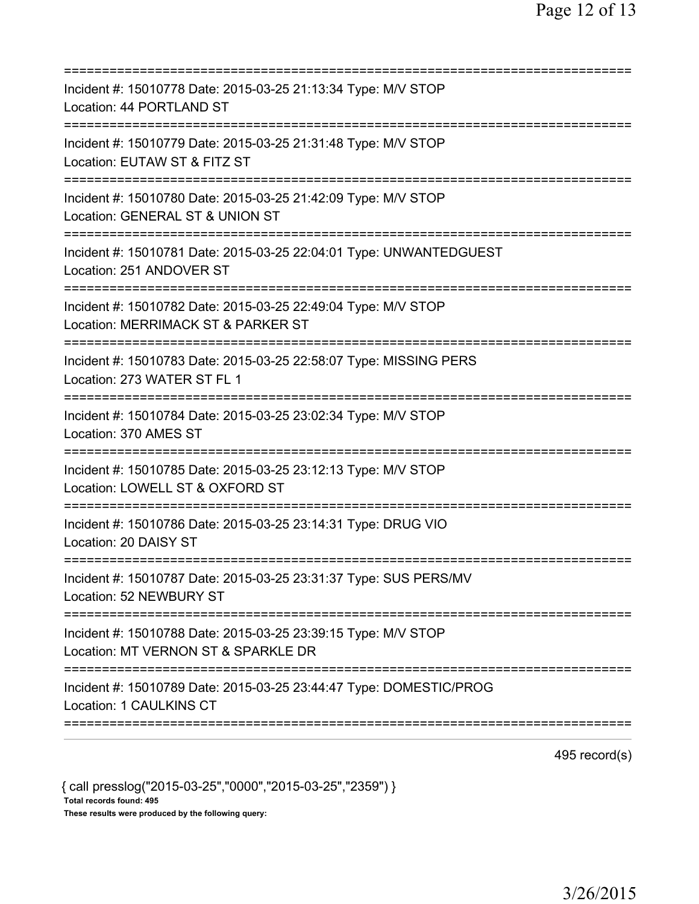| Incident #: 15010778 Date: 2015-03-25 21:13:34 Type: M/V STOP<br>Location: 44 PORTLAND ST                                       |
|---------------------------------------------------------------------------------------------------------------------------------|
| Incident #: 15010779 Date: 2015-03-25 21:31:48 Type: M/V STOP<br>Location: EUTAW ST & FITZ ST                                   |
| Incident #: 15010780 Date: 2015-03-25 21:42:09 Type: M/V STOP<br>Location: GENERAL ST & UNION ST                                |
| Incident #: 15010781 Date: 2015-03-25 22:04:01 Type: UNWANTEDGUEST<br>Location: 251 ANDOVER ST                                  |
| Incident #: 15010782 Date: 2015-03-25 22:49:04 Type: M/V STOP<br>Location: MERRIMACK ST & PARKER ST                             |
| Incident #: 15010783 Date: 2015-03-25 22:58:07 Type: MISSING PERS<br>Location: 273 WATER ST FL 1                                |
| Incident #: 15010784 Date: 2015-03-25 23:02:34 Type: M/V STOP<br>Location: 370 AMES ST                                          |
| Incident #: 15010785 Date: 2015-03-25 23:12:13 Type: M/V STOP<br>Location: LOWELL ST & OXFORD ST<br>=========================== |
| Incident #: 15010786 Date: 2015-03-25 23:14:31 Type: DRUG VIO<br>Location: 20 DAISY ST                                          |
| Incident #: 15010787 Date: 2015-03-25 23:31:37 Type: SUS PERS/MV<br>Location: 52 NEWBURY ST                                     |
| Incident #: 15010788 Date: 2015-03-25 23:39:15 Type: M/V STOP<br>Location: MT VERNON ST & SPARKLE DR                            |
| Incident #: 15010789 Date: 2015-03-25 23:44:47 Type: DOMESTIC/PROG<br>Location: 1 CAULKINS CT                                   |
|                                                                                                                                 |

495 record(s)

{ call presslog("2015-03-25","0000","2015-03-25","2359") } Total records found: 495 These results were produced by the following query: